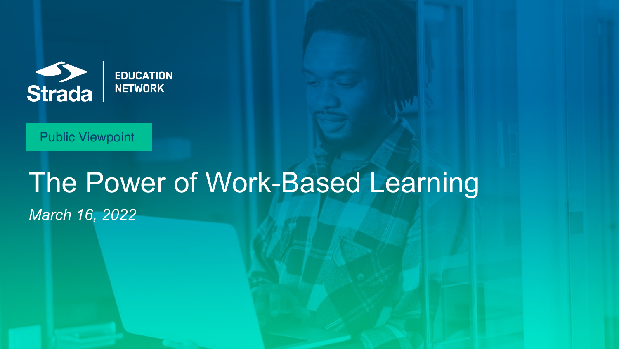

**EDUCATION NETWORK** 

#### Public Viewpoint

## The Power of Work-Based Learning *March 16, 2022*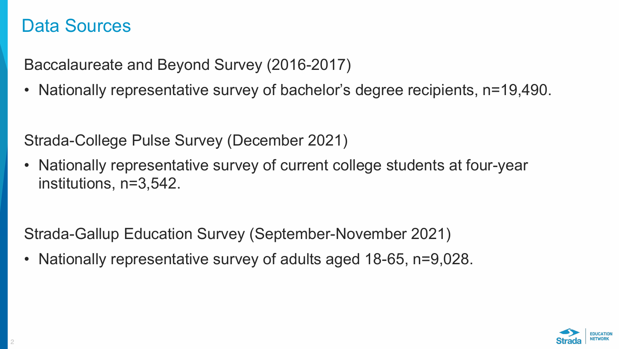#### Data Sources

Baccalaureate and Beyond Survey (2016-2017)

• Nationally representative survey of bachelor's degree recipients, n=19,490.

Strada-College Pulse Survey (December 2021)

• Nationally representative survey of current college students at four-year institutions, n=3,542.

Strada-Gallup Education Survey (September-November 2021)

• Nationally representative survey of adults aged 18-65, n=9,028.

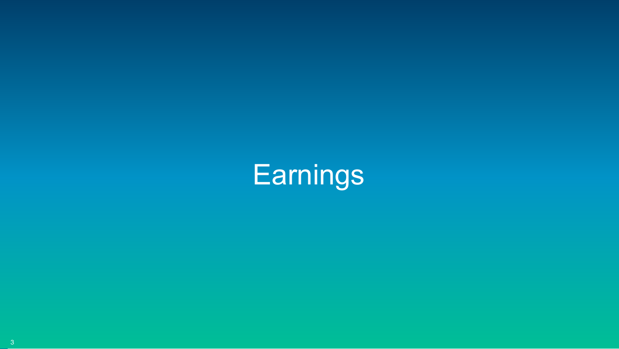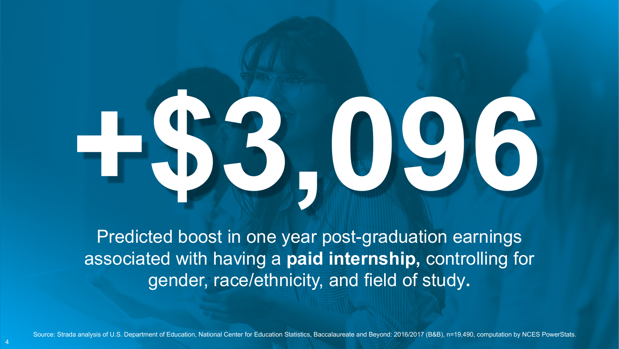# **+\$3,096**

Predicted boost in one year post-graduation earnings associated with having a **paid internship,** controlling for gender, race/ethnicity, and field of study**.**

Source: Strada analysis of U.S. Department of Education, National Center for Education Statistics, Baccalaureate and Beyond: 2016/2017 (B&B), n=19,490, computation by NCES PowerStats.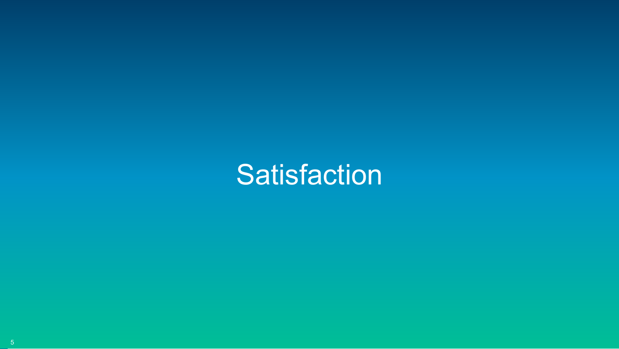# **Satisfaction**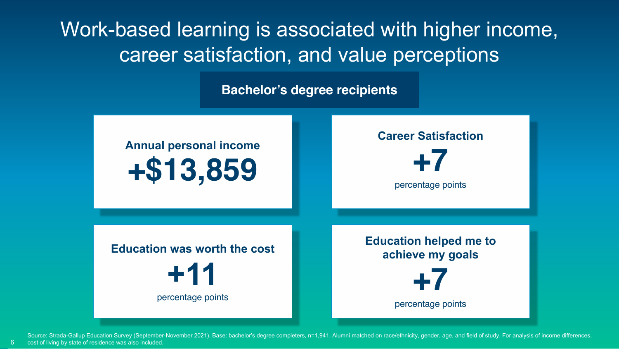Work-based learning is associated with higher income, career satisfaction, and value perceptions

**Bachelor's degree recipients**



Source: Strada-Gallup Education Survey (September-November 2021). Base: bachelor's degree completers, n=1,941. Alumni matched on race/ethnicity, gender, age, and field of study. For analysis of income differences, cost of living by state of residence was also included.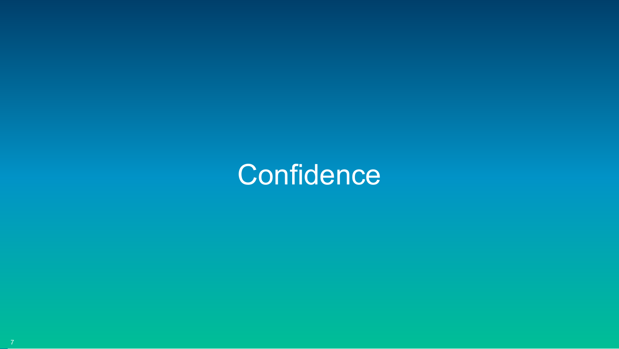## **Confidence**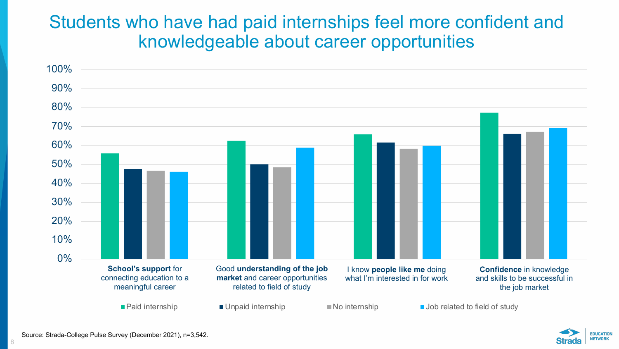#### Students who have had paid internships feel more confident and knowledgeable about career opportunities



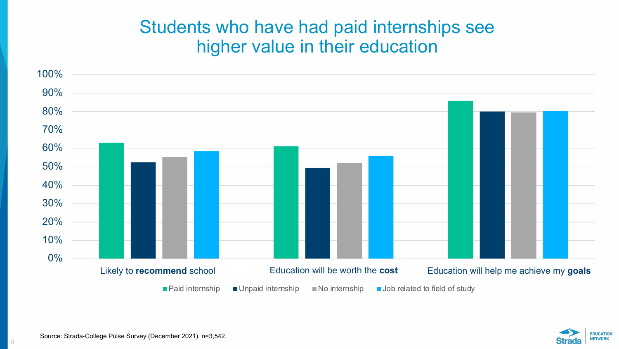#### Students who have had paid internships see higher value in their education



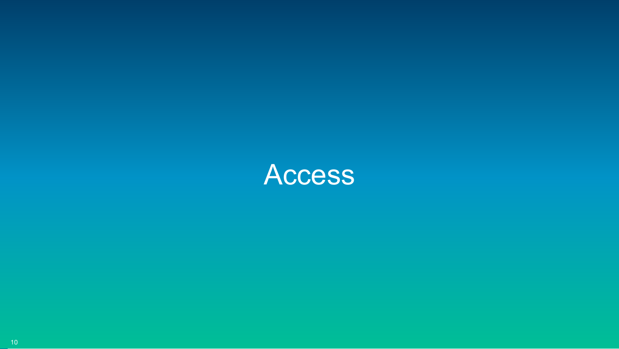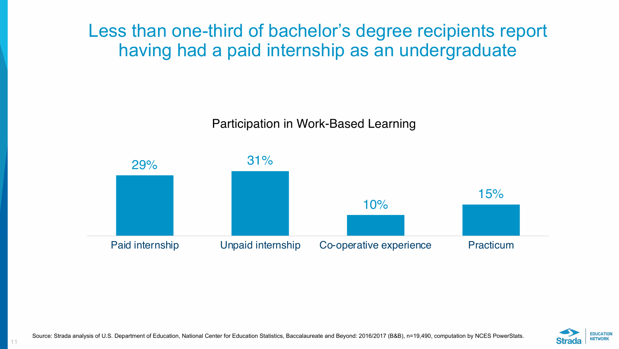Less than one-third of bachelor's degree recipients report having had a paid internship as an undergraduate

Participation in Work-Based Learning



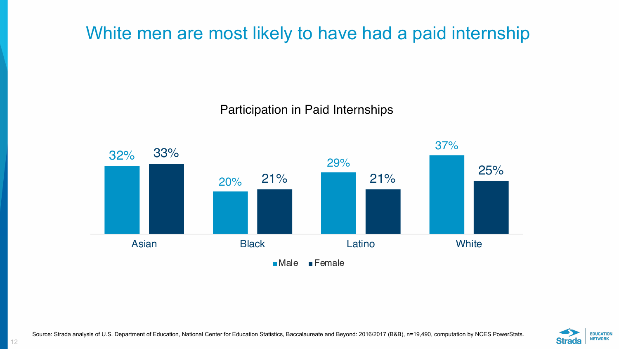### White men are most likely to have had a paid internship

Participation in Paid Internships



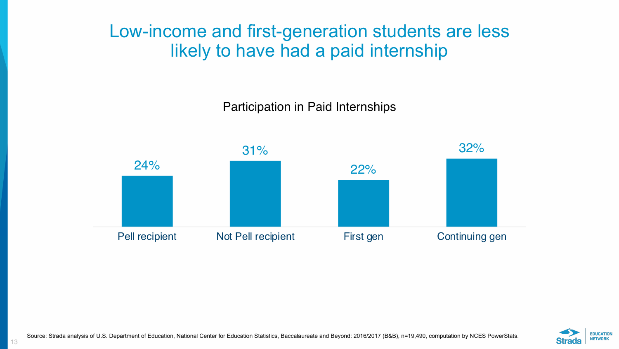#### Low-income and first-generation students are less likely to have had a paid internship

Participation in Paid Internships





Source: Strada analysis of U.S. Department of Education, National Center for Education Statistics, Baccalaureate and Beyond: 2016/2017 (B&B), n=19,490, computation by NCES PowerStats.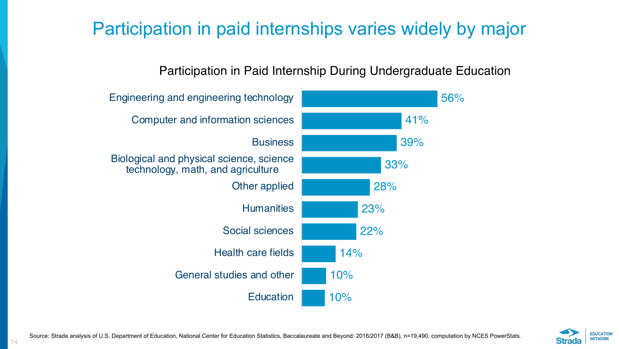### Participation in paid internships varies widely by major

#### Participation in Paid Internship During Undergraduate Education

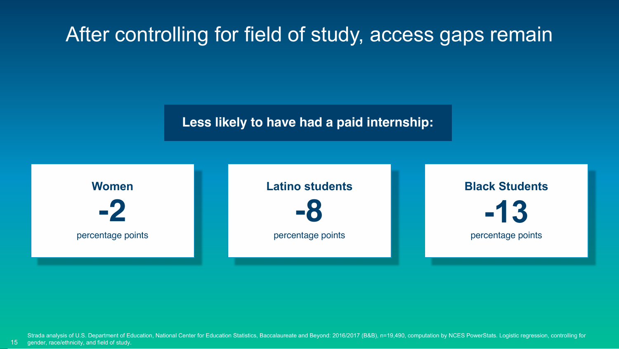## After controlling for field of study, access gaps remain

**Less likely to have had a paid internship:** 



15 Strada analysis of U.S. Department of Education, National Center for Education Statistics, Baccalaureate and Beyond: 2016/2017 (B&B), n=19,490, computation by NCES PowerStats. Logistic regression, controlling for gender, race/ethnicity, and field of study.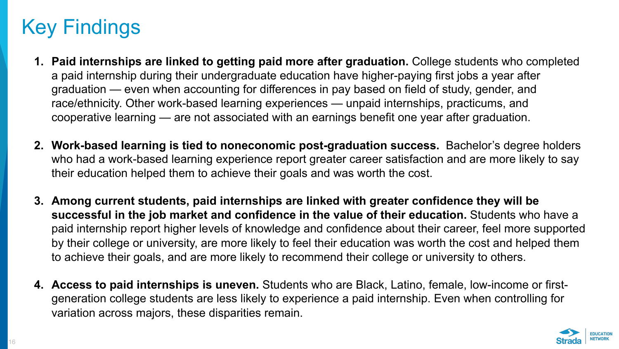## Key Findings

- **1. Paid internships are linked to getting paid more after graduation.** College students who completed a paid internship during their undergraduate education have higher-paying first jobs a year after graduation — even when accounting for differences in pay based on field of study, gender, and race/ethnicity. Other work-based learning experiences — unpaid internships, practicums, and cooperative learning — are not associated with an earnings benefit one year after graduation.
- **2. Work-based learning is tied to noneconomic post-graduation success.** Bachelor's degree holders who had a work-based learning experience report greater career satisfaction and are more likely to say their education helped them to achieve their goals and was worth the cost.
- **3. Among current students, paid internships are linked with greater confidence they will be successful in the job market and confidence in the value of their education.** Students who have a paid internship report higher levels of knowledge and confidence about their career, feel more supported by their college or university, are more likely to feel their education was worth the cost and helped them to achieve their goals, and are more likely to recommend their college or university to others.
- **4. Access to paid internships is uneven.** Students who are Black, Latino, female, low-income or firstgeneration college students are less likely to experience a paid internship. Even when controlling for variation across majors, these disparities remain.